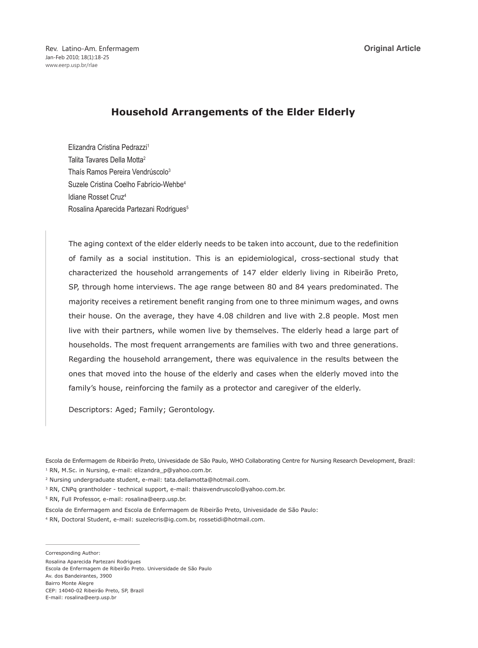**Original Article**

Rev. Latino-Am. Enfermagem Jan-Feb 2010; 18(1):18-25 www.eerp.usp.br/rlae

# **Household Arrangements of the Elder Elderly**

Elizandra Cristina Pedrazzi1 Talita Tavares Della Motta2 Thaís Ramos Pereira Vendrúscolo<sup>3</sup> Suzele Cristina Coelho Fabrício-Wehbe<sup>4</sup> Idiane Rosset Cruz4 Rosalina Aparecida Partezani Rodrigues<sup>5</sup>

The aging context of the elder elderly needs to be taken into account, due to the redefinition of family as a social institution. This is an epidemiological, cross-sectional study that characterized the household arrangements of 147 elder elderly living in Ribeirão Preto, SP, through home interviews. The age range between 80 and 84 years predominated. The majority receives a retirement benefit ranging from one to three minimum wages, and owns their house. On the average, they have 4.08 children and live with 2.8 people. Most men live with their partners, while women live by themselves. The elderly head a large part of households. The most frequent arrangements are families with two and three generations. Regarding the household arrangement, there was equivalence in the results between the ones that moved into the house of the elderly and cases when the elderly moved into the family's house, reinforcing the family as a protector and caregiver of the elderly.

Descriptors: Aged; Family; Gerontology.

Escola de Enfermagem de Ribeirão Preto, Univesidade de São Paulo, WHO Collaborating Centre for Nursing Research Development, Brazil: 1 RN, M.Sc. in Nursing, e-mail: elizandra\_p@yahoo.com.br.

2 Nursing undergraduate student, e-mail: tata.dellamotta@hotmail.com.

<sup>3</sup> RN, CNPq grantholder - technical support, e-mail: thaisvendruscolo@yahoo.com.br.

5 RN, Full Professor, e-mail: rosalina@eerp.usp.br.

Escola de Enfermagem and Escola de Enfermagem de Ribeirão Preto, Univesidade de São Paulo: 4 RN, Doctoral Student, e-mail: suzelecris@ig.com.br, rossetidi@hotmail.com.

Corresponding Author:

Rosalina Aparecida Partezani Rodrigues Escola de Enfermagem de Ribeirão Preto. Universidade de São Paulo Av. dos Bandeirantes, 3900 Bairro Monte Alegre CEP: 14040-02 Ribeirão Preto, SP, Brazil E-mail: rosalina@eerp.usp.br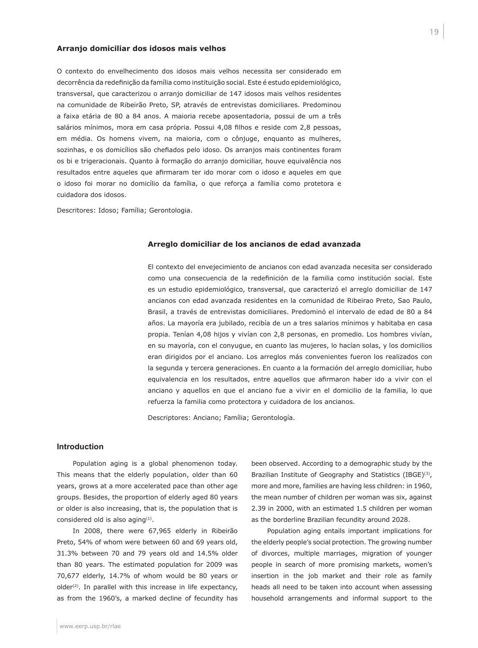# **Arranjo domiciliar dos idosos mais velhos**

O contexto do envelhecimento dos idosos mais velhos necessita ser considerado em decorrência da redefinição da família como instituição social. Este é estudo epidemiológico, transversal, que caracterizou o arranjo domiciliar de 147 idosos mais velhos residentes na comunidade de Ribeirão Preto, SP, através de entrevistas domiciliares. Predominou a faixa etária de 80 a 84 anos. A maioria recebe aposentadoria, possui de um a três salários mínimos, mora em casa própria. Possui 4,08 filhos e reside com 2,8 pessoas, em média. Os homens vivem, na maioria, com o cônjuge, enquanto as mulheres, sozinhas, e os domicílios são chefiados pelo idoso. Os arranjos mais continentes foram os bi e trigeracionais. Quanto à formação do arranjo domiciliar, houve equivalência nos resultados entre aqueles que afirmaram ter ido morar com o idoso e aqueles em que o idoso foi morar no domicílio da família, o que reforça a família como protetora e cuidadora dos idosos.

Descritores: Idoso; Família; Gerontologia.

#### **Arreglo domiciliar de los ancianos de edad avanzada**

El contexto del envejecimiento de ancianos con edad avanzada necesita ser considerado como una consecuencia de la redefinición de la familia como institución social. Este es un estudio epidemiológico, transversal, que caracterizó el arreglo domiciliar de 147 ancianos con edad avanzada residentes en la comunidad de Ribeirao Preto, Sao Paulo, Brasil, a través de entrevistas domiciliares. Predominó el intervalo de edad de 80 a 84 años. La mayoría era jubilado, recibía de un a tres salarios mínimos y habitaba en casa propia. Tenían 4,08 hijos y vivían con 2,8 personas, en promedio. Los hombres vivían, en su mayoría, con el conyugue, en cuanto las mujeres, lo hacían solas, y los domicilios eran dirigidos por el anciano. Los arreglos más convenientes fueron los realizados con la segunda y tercera generaciones. En cuanto a la formación del arreglo domiciliar, hubo equivalencia en los resultados, entre aquellos que afirmaron haber ido a vivir con el anciano y aquellos en que el anciano fue a vivir en el domicilio de la familia, lo que refuerza la familia como protectora y cuidadora de los ancianos.

Descriptores: Anciano; Família; Gerontología.

#### **Introduction**

Population aging is a global phenomenon today. This means that the elderly population, older than 60 years, grows at a more accelerated pace than other age groups. Besides, the proportion of elderly aged 80 years or older is also increasing, that is, the population that is considered old is also aging<sup>(1)</sup>.

In 2008, there were 67,965 elderly in Ribeirão Preto, 54% of whom were between 60 and 69 years old, 31.3% between 70 and 79 years old and 14.5% older than 80 years. The estimated population for 2009 was 70,677 elderly, 14.7% of whom would be 80 years or  $older<sup>(2)</sup>$ . In parallel with this increase in life expectancy, as from the 1960's, a marked decline of fecundity has been observed. According to a demographic study by the Brazilian Institute of Geography and Statistics (IBGE)<sup>(3)</sup>, more and more, families are having less children: in 1960, the mean number of children per woman was six, against 2.39 in 2000, with an estimated 1.5 children per woman as the borderline Brazilian fecundity around 2028.

Population aging entails important implications for the elderly people's social protection. The growing number of divorces, multiple marriages, migration of younger people in search of more promising markets, women's insertion in the job market and their role as family heads all need to be taken into account when assessing household arrangements and informal support to the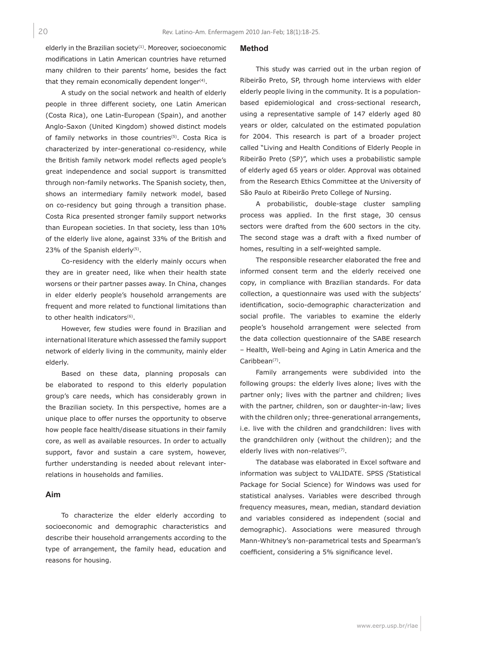elderly in the Brazilian society $(1)$ . Moreover, socioeconomic modifications in Latin American countries have returned many children to their parents' home, besides the fact that they remain economically dependent longer $(4)$ .

A study on the social network and health of elderly people in three different society, one Latin American (Costa Rica), one Latin-European (Spain), and another Anglo-Saxon (United Kingdom) showed distinct models of family networks in those countries<sup>(5)</sup>. Costa Rica is characterized by inter-generational co-residency, while the British family network model reflects aged people's great independence and social support is transmitted through non-family networks. The Spanish society, then, shows an intermediary family network model, based on co-residency but going through a transition phase. Costa Rica presented stronger family support networks than European societies. In that society, less than 10% of the elderly live alone, against 33% of the British and 23% of the Spanish elderly<sup>(5)</sup>.

Co-residency with the elderly mainly occurs when they are in greater need, like when their health state worsens or their partner passes away. In China, changes in elder elderly people's household arrangements are frequent and more related to functional limitations than to other health indicators<sup>(6)</sup>.

However, few studies were found in Brazilian and international literature which assessed the family support network of elderly living in the community, mainly elder elderly.

Based on these data, planning proposals can be elaborated to respond to this elderly population group's care needs, which has considerably grown in the Brazilian society. In this perspective, homes are a unique place to offer nurses the opportunity to observe how people face health/disease situations in their family core, as well as available resources. In order to actually support, favor and sustain a care system, however, further understanding is needed about relevant interrelations in households and families.

# **Aim**

To characterize the elder elderly according to socioeconomic and demographic characteristics and describe their household arrangements according to the type of arrangement, the family head, education and reasons for housing.

#### **Method**

This study was carried out in the urban region of Ribeirão Preto, SP, through home interviews with elder elderly people living in the community. It is a populationbased epidemiological and cross-sectional research, using a representative sample of 147 elderly aged 80 years or older, calculated on the estimated population for 2004. This research is part of a broader project called "Living and Health Conditions of Elderly People in Ribeirão Preto (SP)", which uses a probabilistic sample of elderly aged 65 years or older. Approval was obtained from the Research Ethics Committee at the University of São Paulo at Ribeirão Preto College of Nursing.

A probabilistic, double-stage cluster sampling process was applied. In the first stage, 30 census sectors were drafted from the 600 sectors in the city. The second stage was a draft with a fixed number of homes, resulting in a self-weighted sample.

The responsible researcher elaborated the free and informed consent term and the elderly received one copy, in compliance with Brazilian standards. For data collection, a questionnaire was used with the subjects' identification, socio-demographic characterization and social profile. The variables to examine the elderly people's household arrangement were selected from the data collection questionnaire of the SABE research – Health, Well-being and Aging in Latin America and the Caribbean<sup>(7)</sup>.

Family arrangements were subdivided into the following groups: the elderly lives alone; lives with the partner only; lives with the partner and children; lives with the partner, children, son or daughter-in-law; lives with the children only; three-generational arrangements, i.e. live with the children and grandchildren: lives with the grandchildren only (without the children); and the elderly lives with non-relatives<sup>(7)</sup>.

The database was elaborated in Excel software and information was subject to VALIDATE. SPSS *(*Statistical Package for Social Science) for Windows was used for statistical analyses. Variables were described through frequency measures, mean, median, standard deviation and variables considered as independent (social and demographic). Associations were measured through Mann-Whitney's non-parametrical tests and Spearman's coefficient, considering a 5% significance level.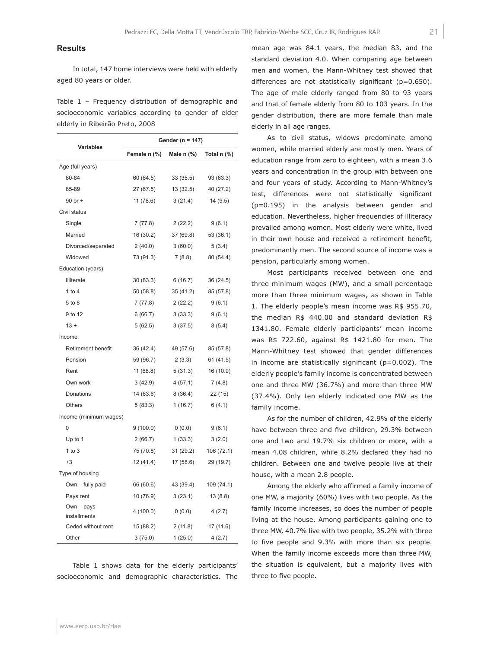# **Results**

In total, 147 home interviews were held with elderly aged 80 years or older.

Table 1 – Frequency distribution of demographic and socioeconomic variables according to gender of elder elderly in Ribeirão Preto, 2008

| <b>Variables</b>           | Gender (n = 147) |                 |               |  |
|----------------------------|------------------|-----------------|---------------|--|
|                            | Female n (%)     | Male $n$ $\%$ ) | Total $n$ (%) |  |
| Age (full years)           |                  |                 |               |  |
| 80-84                      | 60 (64.5)        | 33(35.5)        | 93 (63.3)     |  |
| 85-89                      | 27 (67.5)        | 13 (32.5)       | 40 (27.2)     |  |
| 90 or +                    | 11(78.6)         | 3(21.4)         | 14 (9.5)      |  |
| Civil status               |                  |                 |               |  |
| Single                     | 7(77.8)          | 2(22.2)         | 9(6.1)        |  |
| Married                    | 16 (30.2)        | 37 (69.8)       | 53 (36.1)     |  |
| Divorced/separated         | 2(40.0)          | 3(60.0)         | 5(3.4)        |  |
| Widowed                    | 73 (91.3)        | 7(8.8)          | 80 (54.4)     |  |
| Education (years)          |                  |                 |               |  |
| <b>Illiterate</b>          | 30 (83.3)        | 6 (16.7)        | 36 (24.5)     |  |
| 1 to $4$                   | 50 (58.8)        | 35 (41.2)       | 85 (57.8)     |  |
| 5 to 8                     | 7(77.8)          | 2(22.2)         | 9(6.1)        |  |
| 9 to 12                    | 6(66.7)          | 3(33.3)         | 9(6.1)        |  |
| $13 +$                     | 5(62.5)          | 3(37.5)         | 8(5.4)        |  |
| Income                     |                  |                 |               |  |
| <b>Retirement benefit</b>  | 36 (42.4)        | 49 (57.6)       | 85 (57.8)     |  |
| Pension                    | 59 (96.7)        | 2(3.3)          | 61 (41.5)     |  |
| Rent                       | 11(68.8)         | 5(31.3)         | 16 (10.9)     |  |
| Own work                   | 3(42.9)          | 4(57.1)         | 7(4.8)        |  |
| Donations                  | 14 (63.6)        | 8(36.4)         | 22 (15)       |  |
| <b>Others</b>              | 5(83.3)          | 1(16.7)         | 6(4.1)        |  |
| Income (minimum wages)     |                  |                 |               |  |
| 0                          | 9(100.0)         | 0(0.0)          | 9(6.1)        |  |
| Up to 1                    | 2(66.7)          | 1(33.3)         | 3(2.0)        |  |
| $1$ to $3$                 | 75 (70.8)        | 31 (29.2)       | 106 (72.1)    |  |
| $+3$                       | 12(41.4)         | 17(58.6)        | 29 (19.7)     |  |
| Type of housing            |                  |                 |               |  |
| Own - fully paid           | 66 (60.6)        | 43 (39.4)       | 109 (74.1)    |  |
| Pays rent                  | 10 (76.9)        | 3(23.1)         | 13(8.8)       |  |
| Own - pays<br>installments | 4(100.0)         | 0(0.0)          | 4(2.7)        |  |
| Ceded without rent         | 15 (88.2)        | 2(11.8)         | 17 (11.6)     |  |
| Other                      | 3(75.0)          | 1(25.0)         | 4(2.7)        |  |

Table 1 shows data for the elderly participants' socioeconomic and demographic characteristics. The mean age was 84.1 years, the median 83, and the standard deviation 4.0. When comparing age between men and women, the Mann-Whitney test showed that differences are not statistically significant (p=0.650). The age of male elderly ranged from 80 to 93 years and that of female elderly from 80 to 103 years. In the gender distribution, there are more female than male elderly in all age ranges.

As to civil status, widows predominate among women, while married elderly are mostly men. Years of education range from zero to eighteen, with a mean 3.6 years and concentration in the group with between one and four years of study. According to Mann-Whitney's test, differences were not statistically significant (p=0.195) in the analysis between gender and education. Nevertheless, higher frequencies of illiteracy prevailed among women. Most elderly were white, lived in their own house and received a retirement benefit, predominantly men. The second source of income was a pension, particularly among women.

Most participants received between one and three minimum wages (MW), and a small percentage more than three minimum wages, as shown in Table 1. The elderly people's mean income was R\$ 955.70, the median R\$ 440.00 and standard deviation R\$ 1341.80. Female elderly participants' mean income was R\$ 722.60, against R\$ 1421.80 for men. The Mann-Whitney test showed that gender differences in income are statistically significant ( $p=0.002$ ). The elderly people's family income is concentrated between one and three MW (36.7%) and more than three MW (37.4%). Only ten elderly indicated one MW as the family income.

As for the number of children, 42.9% of the elderly have between three and five children, 29.3% between one and two and 19.7% six children or more, with a mean 4.08 children, while 8.2% declared they had no children. Between one and twelve people live at their house, with a mean 2.8 people.

Among the elderly who affirmed a family income of one MW, a majority (60%) lives with two people. As the family income increases, so does the number of people living at the house. Among participants gaining one to three MW, 40.7% live with two people, 35.2% with three to five people and 9.3% with more than six people. When the family income exceeds more than three MW, the situation is equivalent, but a majority lives with three to five people.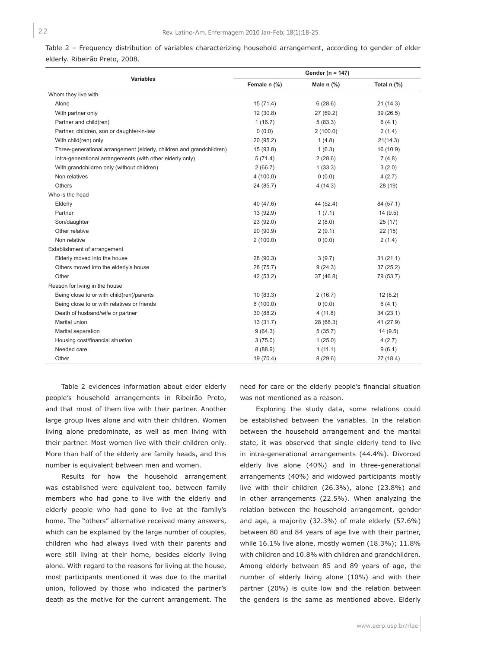Table 2 – Frequency distribution of variables characterizing household arrangement, according to gender of elder elderly. Ribeirão Preto, 2008.

|                                                                      | Gender ( $n = 147$ ) |              |             |
|----------------------------------------------------------------------|----------------------|--------------|-------------|
| <b>Variables</b>                                                     | Female n (%)         | Male $n$ (%) | Total n (%) |
| Whom they live with                                                  |                      |              |             |
| Alone                                                                | 15(71.4)             | 6(28.6)      | 21(14.3)    |
| With partner only                                                    | 12(30.8)             | 27 (69.2)    | 39 (26.5)   |
| Partner and child(ren)                                               | 1(16.7)              | 5(83.3)      | 6(4.1)      |
| Partner, children, son or daughter-in-law                            | 0(0.0)               | 2(100.0)     | 2(1.4)      |
| With child(ren) only                                                 | 20 (95.2)            | 1(4.8)       | 21(14.3)    |
| Three-generational arrangement (elderly, children and grandchildren) | 15 (93.8)            | 1(6.3)       | 16 (10.9)   |
| Intra-generational arrangements (with other elderly only)            | 5(71.4)              | 2(28.6)      | 7(4.8)      |
| With grandchildren only (without children)                           | 2(66.7)              | 1(33.3)      | 3(2.0)      |
| Non relatives                                                        | 4(100.0)             | 0(0.0)       | 4(2.7)      |
| Others                                                               | 24 (85.7)            | 4(14.3)      | 28 (19)     |
| Who is the head                                                      |                      |              |             |
| Elderly                                                              | 40 (47.6)            | 44 (52.4)    | 84 (57.1)   |
| Partner                                                              | 13 (92.9)            | 1(7.1)       | 14(9.5)     |
| Son/daughter                                                         | 23 (92.0)            | 2(8.0)       | 25(17)      |
| Other relative                                                       | 20 (90.9)            | 2(9.1)       | 22(15)      |
| Non relative                                                         | 2(100.0)             | 0(0.0)       | 2(1.4)      |
| Establishment of arrangement                                         |                      |              |             |
| Elderly moved into the house                                         | 28 (90.3)            | 3(9.7)       | 31(21.1)    |
| Others moved into the elderly's house                                | 28 (75.7)            | 9(24.3)      | 37(25.2)    |
| Other                                                                | 42 (53.2)            | 37(46.8)     | 79 (53.7)   |
| Reason for living in the house                                       |                      |              |             |
| Being close to or with child(ren)/parents                            | 10(83.3)             | 2(16.7)      | 12(8.2)     |
| Being close to or with relatives or friends                          | 6(100.0)             | 0(0.0)       | 6(4.1)      |
| Death of husband/wife or partner                                     | 30 (88.2)            | 4(11.8)      | 34(23.1)    |
| Marital union                                                        | 13(31.7)             | 28 (68.3)    | 41 (27.9)   |
| Marital separation                                                   | 9(64.3)              | 5(35.7)      | 14(9.5)     |
| Housing cost/financial situation                                     | 3(75.0)              | 1(25.0)      | 4(2.7)      |
| Needed care                                                          | 8(88.9)              | 1(11.1)      | 9(6.1)      |
| Other                                                                | 19 (70.4)            | 8(29.6)      | 27 (18.4)   |

Table 2 evidences information about elder elderly people's household arrangements in Ribeirão Preto, and that most of them live with their partner. Another large group lives alone and with their children. Women living alone predominate, as well as men living with their partner. Most women live with their children only. More than half of the elderly are family heads, and this number is equivalent between men and women.

Results for how the household arrangement was established were equivalent too, between family members who had gone to live with the elderly and elderly people who had gone to live at the family's home. The "others" alternative received many answers, which can be explained by the large number of couples, children who had always lived with their parents and were still living at their home, besides elderly living alone. With regard to the reasons for living at the house, most participants mentioned it was due to the marital union, followed by those who indicated the partner's death as the motive for the current arrangement. The

need for care or the elderly people's financial situation was not mentioned as a reason.

Exploring the study data, some relations could be established between the variables. In the relation between the household arrangement and the marital state, it was observed that single elderly tend to live in intra-generational arrangements (44.4%). Divorced elderly live alone (40%) and in three-generational arrangements (40%) and widowed participants mostly live with their children (26.3%), alone (23.8%) and in other arrangements (22.5%). When analyzing the relation between the household arrangement, gender and age, a majority (32.3%) of male elderly (57.6%) between 80 and 84 years of age live with their partner, while 16.1% live alone, mostly women (18.3%); 11.8% with children and 10.8% with children and grandchildren. Among elderly between 85 and 89 years of age, the number of elderly living alone (10%) and with their partner (20%) is quite low and the relation between the genders is the same as mentioned above. Elderly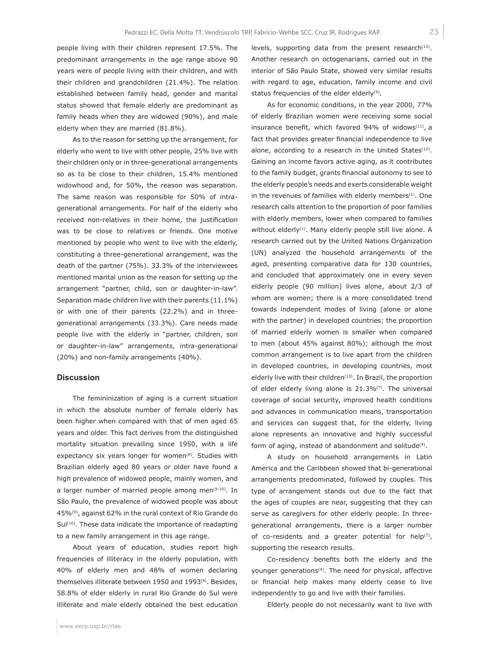people living with their children represent 17.5%. The predominant arrangements in the age range above 90 years were of people living with their children, and with their children and grandchildren (21.4%). The relation established between family head, gender and marital status showed that female elderly are predominant as family heads when they are widowed (90%), and male elderly when they are married (81.8%).

As to the reason for setting up the arrangement, for elderly who went to live with other people, 25% live with their children only or in three-generational arrangements so as to be close to their children, 15.4% mentioned widowhood and, for 50%, the reason was separation. The same reason was responsible for 50% of intragenerational arrangements. For half of the elderly who received non-relatives in their home, the justification was to be close to relatives or friends. One motive mentioned by people who went to live with the elderly, constituting a three-generational arrangement, was the death of the partner (75%). 33.3% of the interviewees mentioned marital union as the reason for setting up the arrangement "partner, child, son or daughter-in-law". Separation made children live with their parents (11.1%) or with one of their parents (22.2%) and in threegenerational arrangements (33.3%). Care needs made people live with the elderly in "partner, children, son or daughter-in-law" arrangements, intra-generational (20%) and non-family arrangements (40%).

# **Discussion**

The femininization of aging is a current situation in which the absolute number of female elderly has been higher when compared with that of men aged 65 years and older. This fact derives from the distinguished mortality situation prevailing since 1950, with a life expectancy six years longer for women $(8)$ . Studies with Brazilian elderly aged 80 years or older have found a high prevalence of widowed people, mainly women, and a larger number of married people among men<sup>(9-10)</sup>. In São Paulo, the prevalence of widowed people was about 45%(9), against 62% in the rural context of Rio Grande do  $Sul<sup>(10)</sup>$ . These data indicate the importance of readapting to a new family arrangement in this age range.

About years of education, studies report high frequencies of illiteracy in the elderly population, with 40% of elderly men and 48% of women declaring themselves illiterate between 1950 and 1993(8). Besides, 58.8% of elder elderly in rural Rio Grande do Sul were illiterate and male elderly obtained the best education levels, supporting data from the present research<sup>(10)</sup>. Another research on octogenarians, carried out in the interior of São Paulo State, showed very similar results with regard to age, education, family income and civil status frequencies of the elder elderly<sup>(9)</sup>.

As for economic conditions, in the year 2000, 77% of elderly Brazilian women were receiving some social insurance benefit, which favored 94% of widows $(11)$ , a fact that provides greater financial independence to live alone, according to a research in the United States $(12)$ . Gaining an income favors active aging, as it contributes to the family budget, grants financial autonomy to see to the elderly people's needs and exerts considerable weight in the revenues of families with elderly members $(1)$ . One research calls attention to the proportion of poor families with elderly members, lower when compared to families without elderly<sup>(1)</sup>. Many elderly people still live alone. A research carried out by the United Nations Organization (UN) analyzed the household arrangements of the aged, presenting comparative data for 130 countries, and concluded that approximately one in every seven elderly people (90 million) lives alone, about 2/3 of whom are women; there is a more consolidated trend towards independent modes of living (alone or alone with the partner) in developed countries; the proportion of married elderly women is smaller when compared to men (about 45% against 80%); although the most common arrangement is to live apart from the children in developed countries, in developing countries, most elderly live with their children<sup>(13)</sup>. In Brazil, the proportion of elder elderly living alone is  $21.3\%$ <sup>(7)</sup>. The universal coverage of social security, improved health conditions and advances in communication means, transportation and services can suggest that, for the elderly, living alone represents an innovative and highly successful form of aging, instead of abandonment and solitude<sup>(4)</sup>.

A study on household arrangements in Latin America and the Caribbean showed that bi-generational arrangements predominated, followed by couples. This type of arrangement stands out due to the fact that the ages of couples are near, suggesting that they can serve as caregivers for other elderly people. In threegenerational arrangements, there is a larger number of co-residents and a greater potential for help $(7)$ , supporting the research results.

Co-residency benefits both the elderly and the younger generations<sup>(4)</sup>. The need for physical, affective or financial help makes many elderly cease to live independently to go and live with their families.

Elderly people do not necessarily want to live with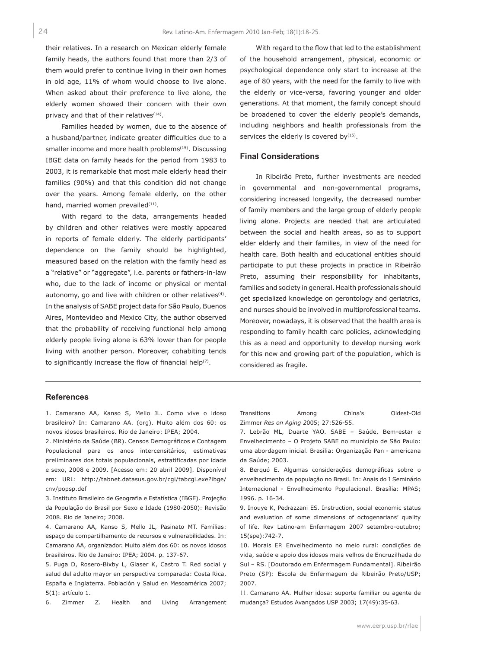their relatives. In a research on Mexican elderly female family heads, the authors found that more than 2/3 of them would prefer to continue living in their own homes in old age, 11% of whom would choose to live alone. When asked about their preference to live alone, the elderly women showed their concern with their own privacy and that of their relatives $(14)$ .

Families headed by women, due to the absence of a husband/partner, indicate greater difficulties due to a smaller income and more health problems<sup>(15)</sup>. Discussing IBGE data on family heads for the period from 1983 to 2003, it is remarkable that most male elderly head their families (90%) and that this condition did not change over the years. Among female elderly, on the other hand, married women prevailed<sup>(11)</sup>.

With regard to the data, arrangements headed by children and other relatives were mostly appeared in reports of female elderly. The elderly participants' dependence on the family should be highlighted, measured based on the relation with the family head as a "relative" or "aggregate", i.e. parents or fathers-in-law who, due to the lack of income or physical or mental autonomy, go and live with children or other relatives<sup>(4)</sup>. In the analysis of SABE project data for São Paulo, Buenos Aires, Montevideo and Mexico City, the author observed that the probability of receiving functional help among elderly people living alone is 63% lower than for people living with another person. Moreover, cohabiting tends to significantly increase the flow of financial help(7).

With regard to the flow that led to the establishment of the household arrangement, physical, economic or psychological dependence only start to increase at the age of 80 years, with the need for the family to live with the elderly or vice-versa, favoring younger and older generations. At that moment, the family concept should be broadened to cover the elderly people's demands, including neighbors and health professionals from the services the elderly is covered by $(15)$ .

# **Final Considerations**

In Ribeirão Preto, further investments are needed in governmental and non-governmental programs, considering increased longevity, the decreased number of family members and the large group of elderly people living alone. Projects are needed that are articulated between the social and health areas, so as to support elder elderly and their families, in view of the need for health care. Both health and educational entities should participate to put these projects in practice in Ribeirão Preto, assuming their responsibility for inhabitants, families and society in general. Health professionals should get specialized knowledge on gerontology and geriatrics, and nurses should be involved in multiprofessional teams. Moreover, nowadays, it is observed that the health area is responding to family health care policies, acknowledging this as a need and opportunity to develop nursing work for this new and growing part of the population, which is considered as fragile.

# **References**

1. Camarano AA, Kanso S, Mello JL. Como vive o idoso brasileiro? In: Camarano AA. (org). Muito além dos 60: os novos idosos brasileiros. Rio de Janeiro: IPEA; 2004.

2. Ministério da Saúde (BR). Censos Demográficos e Contagem Populacional para os anos intercensitários, estimativas preliminares dos totais populacionais, estratificadas por idade e sexo, 2008 e 2009. [Acesso em: 20 abril 2009]. Disponível em: URL: http://tabnet.datasus.gov.br/cgi/tabcgi.exe?ibge/ cnv/popsp.def

3. Instituto Brasileiro de Geografia e Estatística (IBGE). Projeção da População do Brasil por Sexo e Idade (1980-2050): Revisão 2008. Rio de Janeiro; 2008.

4. Camarano AA, Kanso S, Mello JL, Pasinato MT. Famílias: espaço de compartilhamento de recursos e vulnerabilidades. In: Camarano AA, organizador. Muito além dos 60: os novos idosos brasileiros. Rio de Janeiro: IPEA; 2004. p. 137-67.

5. Puga D, Rosero-Bixby L, Glaser K, Castro T. Red social y salud del adulto mayor en perspectiva comparada: Costa Rica, España e Inglaterra. Población y Salud en Mesoamérica 2007; 5(1): artículo 1.

6. Zimmer Z. Health and Living Arrangement

Transitions Among China's Oldest-Old Zimmer *Res on Aging 2*005; 27:526-55.

7. Lebrão ML, Duarte YAO. SABE – Saúde, Bem-estar e Envelhecimento – O Projeto SABE no município de São Paulo: uma abordagem inicial. Brasília: Organização Pan - americana da Saúde; 2003.

8. Berquó E. Algumas considerações demográficas sobre o envelhecimento da população no Brasil. In: Anais do I Seminário Internacional - Envelhecimento Populacional. Brasília: MPAS; 1996. p. 16-34.

9. Inouye K, Pedrazzani ES. Instruction, social economic status and evaluation of some dimensions of octogenarians' quality of life. Rev Latino-am Enfermagem 2007 setembro-outubro; 15(spe):742-7.

10. Morais EP. Envelhecimento no meio rural: condições de vida, saúde e apoio dos idosos mais velhos de Encruzilhada do Sul – RS. [Doutorado em Enfermagem Fundamental]. Ribeirão Preto (SP): Escola de Enfermagem de Ribeirão Preto/USP; 2007.

11. Camarano AA. Mulher idosa: suporte familiar ou agente de mudança? Estudos Avançados USP 2003; 17(49):35-63.